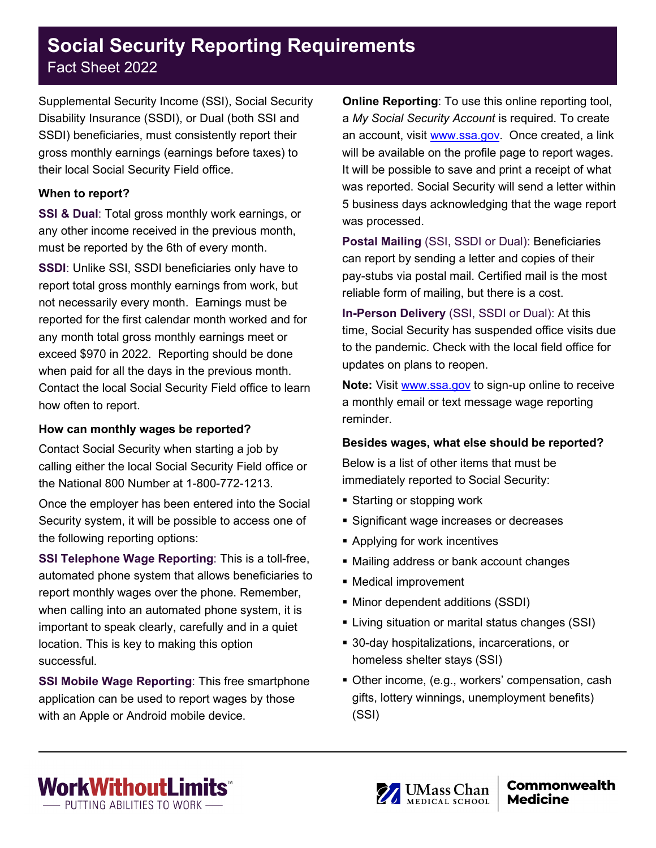### **Social Security Reporting Requirements** Fact Sheet 2022

Supplemental Security Income (SSI), Social Security Disability Insurance (SSDI), or Dual (both SSI and SSDI) beneficiaries, must consistently report their gross monthly earnings (earnings before taxes) to their local Social Security Field office.

#### **When to report?**

**SSI & Dual**: Total gross monthly work earnings, or any other income received in the previous month, must be reported by the 6th of every month.

**SSDI:** Unlike SSI, SSDI beneficiaries only have to report total gross monthly earnings from work, but not necessarily every month. Earnings must be reported for the first calendar month worked and for any month total gross monthly earnings meet or exceed \$970 in 2022. Reporting should be done when paid for all the days in the previous month. Contact the local Social Security Field office to learn how often to report.

#### **How can monthly wages be reported?**

Contact Social Security when starting a job by calling either the local Social Security Field office or the National 800 Number at 1-800-772-1213.

Once the employer has been entered into the Social Security system, it will be possible to access one of the following reporting options:

**SSI Telephone Wage Reporting**: This is a toll-free, automated phone system that allows beneficiaries to report monthly wages over the phone. Remember, when calling into an automated phone system, it is important to speak clearly, carefully and in a quiet location. This is key to making this option successful.

**SSI Mobile Wage Reporting**: This free smartphone application can be used to report wages by those with an Apple or Android mobile device.

**Online Reporting:** To use this online reporting tool, a *My Social Security Account* is required. To create an account, visit [www.ssa.gov.](http://www.ssa.gov/) Once created, a link will be available on the profile page to report wages. It will be possible to save and print a receipt of what was reported. Social Security will send a letter within 5 business days acknowledging that the wage report was processed.

**Postal Mailing** (SSI, SSDI or Dual): Beneficiaries can report by sending a letter and copies of their pay-stubs via postal mail. Certified mail is the most reliable form of mailing, but there is a cost.

**In-Person Delivery** (SSI, SSDI or Dual): At this time, Social Security has suspended office visits due to the pandemic. Check with the local field office for updates on plans to reopen.

**Note:** Visit [www.ssa.gov](http://www.ssa.gov/) to sign-up online to receive a monthly email or text message wage reporting reminder.

#### **Besides wages, what else should be reported?**

Below is a list of other items that must be immediately reported to Social Security:

- **Starting or stopping work**
- **Significant wage increases or decreases**
- **Applying for work incentives**
- Mailing address or bank account changes
- Medical improvement
- Minor dependent additions (SSDI)
- **EXTER** Living situation or marital status changes (SSI)
- 30-day hospitalizations, incarcerations, or homeless shelter stays (SSI)
- Other income, (e.g., workers' compensation, cash gifts, lottery winnings, unemployment benefits) (SSI)



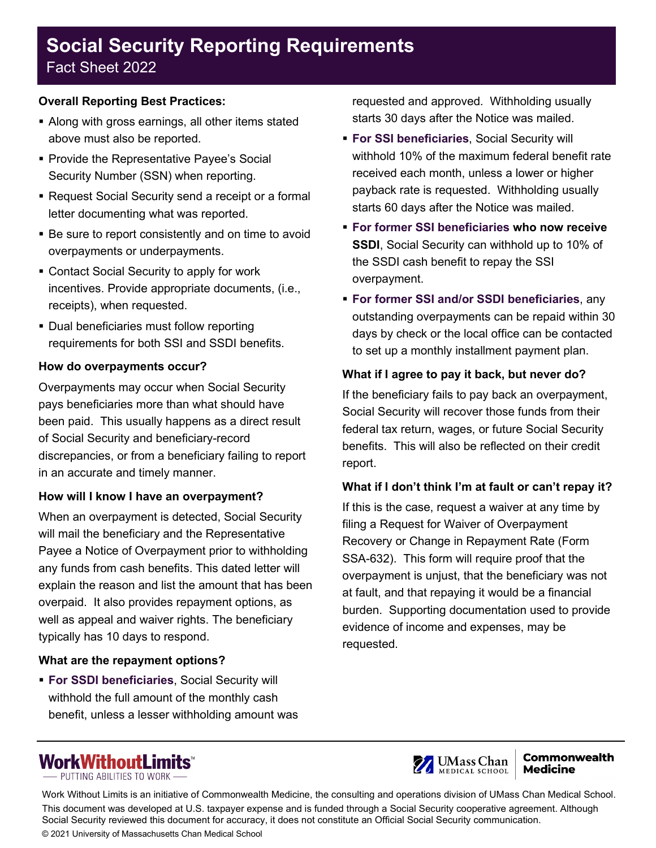# **Social Security Reporting Requirements**

## Fact Sheet 2022

### **Overall Reporting Best Practices:**

- Along with gross earnings, all other items stated above must also be reported.
- **Provide the Representative Payee's Social** Security Number (SSN) when reporting.
- Request Social Security send a receipt or a formal letter documenting what was reported.
- Be sure to report consistently and on time to avoid overpayments or underpayments.
- Contact Social Security to apply for work incentives. Provide appropriate documents, (i.e., receipts), when requested.
- **Dual beneficiaries must follow reporting** requirements for both SSI and SSDI benefits.

#### **How do overpayments occur?**

Overpayments may occur when Social Security pays beneficiaries more than what should have been paid. This usually happens as a direct result of Social Security and beneficiary-record discrepancies, or from a beneficiary failing to report in an accurate and timely manner.

#### **How will I know I have an overpayment?**

When an overpayment is detected, Social Security will mail the beneficiary and the Representative Payee a Notice of Overpayment prior to withholding any funds from cash benefits. This dated letter will explain the reason and list the amount that has been overpaid. It also provides repayment options, as well as appeal and waiver rights. The beneficiary typically has 10 days to respond.

#### **What are the repayment options?**

 **For SSDI beneficiaries**, Social Security will withhold the full amount of the monthly cash benefit, unless a lesser withholding amount was requested and approved. Withholding usually starts 30 days after the Notice was mailed.

- **For SSI beneficiaries**, Social Security will withhold 10% of the maximum federal benefit rate received each month, unless a lower or higher payback rate is requested. Withholding usually starts 60 days after the Notice was mailed.
- **For former SSI beneficiaries who now receive SSDI**, Social Security can withhold up to 10% of the SSDI cash benefit to repay the SSI overpayment.
- **For former SSI and/or SSDI beneficiaries**, any outstanding overpayments can be repaid within 30 days by check or the local office can be contacted to set up a monthly installment payment plan.

### **What if I agree to pay it back, but never do?**

If the beneficiary fails to pay back an overpayment, Social Security will recover those funds from their federal tax return, wages, or future Social Security benefits. This will also be reflected on their credit report.

#### **What if I don't think I'm at fault or can't repay it?**

If this is the case, request a waiver at any time by filing a Request for Waiver of Overpayment Recovery or Change in Repayment Rate (Form SSA-632). This form will require proof that the overpayment is unjust, that the beneficiary was not at fault, and that repaying it would be a financial burden. Supporting documentation used to provide evidence of income and expenses, may be requested.





#### **Commonwealth Medicine**

Work Without Limits is an initiative of Commonwealth Medicine, the consulting and operations division of UMass Chan Medical School. This document was developed at U.S. taxpayer expense and is funded through a Social Security cooperative agreement. Although Social Security reviewed this document for accuracy, it does not constitute an Official Social Security communication. © 2021 University of Massachusetts Chan Medical School